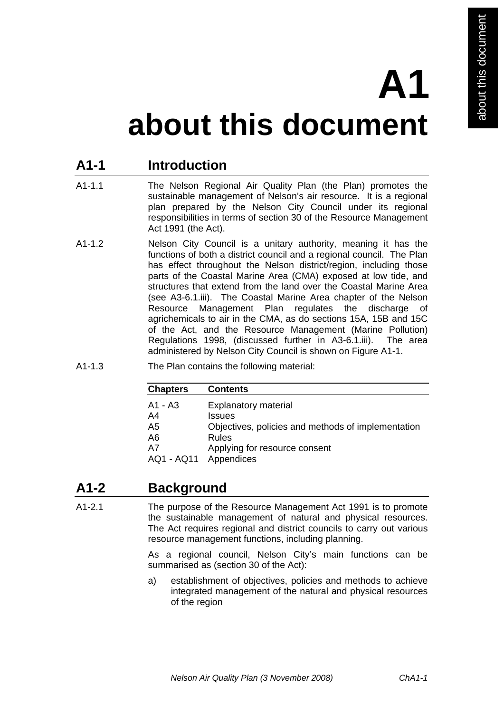# **A1**

## **about this document**

#### **A1-1 Introduction**

- A1-1.1 The Nelson Regional Air Quality Plan (the Plan) promotes the sustainable management of Nelson's air resource. It is a regional plan prepared by the Nelson City Council under its regional responsibilities in terms of section 30 of the Resource Management Act 1991 (the Act).
- A1-1.2 Nelson City Council is a unitary authority, meaning it has the functions of both a district council and a regional council. The Plan has effect throughout the Nelson district/region, including those parts of the Coastal Marine Area (CMA) exposed at low tide, and structures that extend from the land over the Coastal Marine Area (see A3-6.1.iii). The Coastal Marine Area chapter of the Nelson Resource Management Plan regulates the discharge of agrichemicals to air in the CMA, as do sections 15A, 15B and 15C of the Act, and the Resource Management (Marine Pollution) Regulations 1998, (discussed further in A3-6.1.iii). The area administered by Nelson City Council is shown on Figure A1-1.
- A1-1.3 The Plan contains the following material:

| <b>Chapters</b>                                           | <b>Contents</b>                                                                                                                                            |
|-----------------------------------------------------------|------------------------------------------------------------------------------------------------------------------------------------------------------------|
| A1 - A3<br>A4<br>A <sub>5</sub><br>A6<br>A7<br>AQ1 - AQ11 | <b>Explanatory material</b><br><b>Issues</b><br>Objectives, policies and methods of implementation<br>Rules<br>Applying for resource consent<br>Appendices |
|                                                           |                                                                                                                                                            |

### **A1-2 Background**

A1-2.1 The purpose of the Resource Management Act 1991 is to promote the sustainable management of natural and physical resources. The Act requires regional and district councils to carry out various resource management functions, including planning.

> As a regional council, Nelson City's main functions can be summarised as (section 30 of the Act):

> a) establishment of objectives, policies and methods to achieve integrated management of the natural and physical resources of the region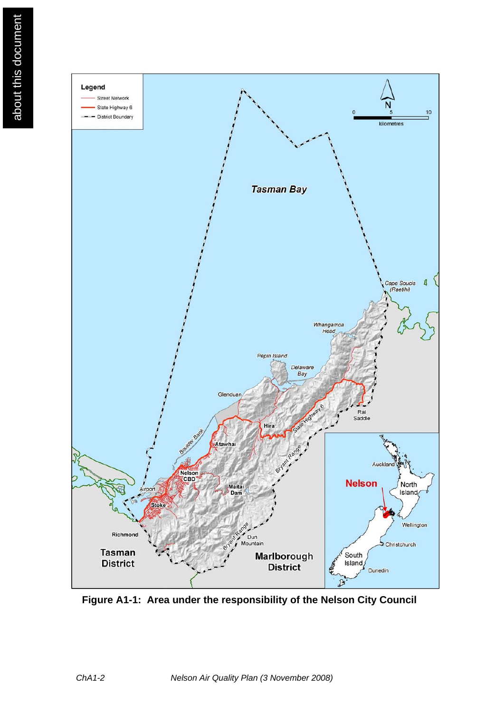

**Figure A1-1: Area under the responsibility of the Nelson City Council**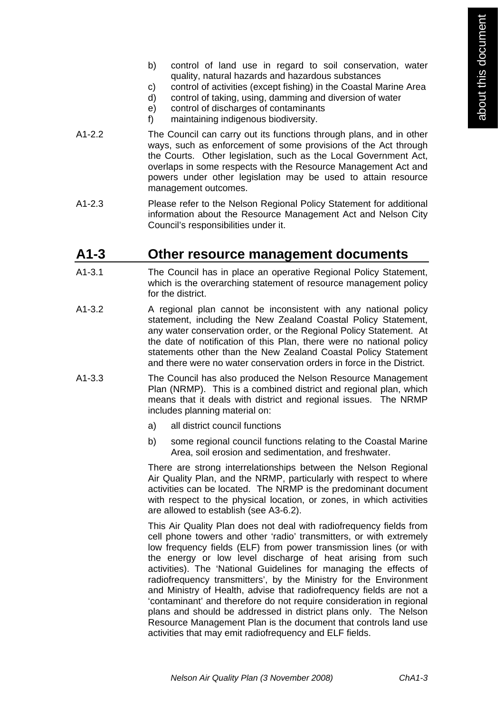- b) control of land use in regard to soil conservation, water quality, natural hazards and hazardous substances
- c) control of activities (except fishing) in the Coastal Marine Area
- d) control of taking, using, damming and diversion of water
- e) control of discharges of contaminants
- f) maintaining indigenous biodiversity.
- A1-2.2 The Council can carry out its functions through plans, and in other ways, such as enforcement of some provisions of the Act through the Courts. Other legislation, such as the Local Government Act, overlaps in some respects with the Resource Management Act and powers under other legislation may be used to attain resource management outcomes.
- A1-2.3 Please refer to the Nelson Regional Policy Statement for additional information about the Resource Management Act and Nelson City Council's responsibilities under it.

#### **A1-3 Other resource management documents**

- A1-3.1 The Council has in place an operative Regional Policy Statement, which is the overarching statement of resource management policy for the district.
- A1-3.2 A regional plan cannot be inconsistent with any national policy statement, including the New Zealand Coastal Policy Statement, any water conservation order, or the Regional Policy Statement. At the date of notification of this Plan, there were no national policy statements other than the New Zealand Coastal Policy Statement and there were no water conservation orders in force in the District.
- A1-3.3 The Council has also produced the Nelson Resource Management Plan (NRMP). This is a combined district and regional plan, which means that it deals with district and regional issues. The NRMP includes planning material on:
	- a) all district council functions
	- b) some regional council functions relating to the Coastal Marine Area, soil erosion and sedimentation, and freshwater.

 There are strong interrelationships between the Nelson Regional Air Quality Plan, and the NRMP, particularly with respect to where activities can be located. The NRMP is the predominant document with respect to the physical location, or zones, in which activities are allowed to establish (see A3-6.2).

 This Air Quality Plan does not deal with radiofrequency fields from cell phone towers and other 'radio' transmitters, or with extremely low frequency fields (ELF) from power transmission lines (or with the energy or low level discharge of heat arising from such activities). The 'National Guidelines for managing the effects of radiofrequency transmitters', by the Ministry for the Environment and Ministry of Health, advise that radiofrequency fields are not a 'contaminant' and therefore do not require consideration in regional plans and should be addressed in district plans only. The Nelson Resource Management Plan is the document that controls land use activities that may emit radiofrequency and ELF fields.